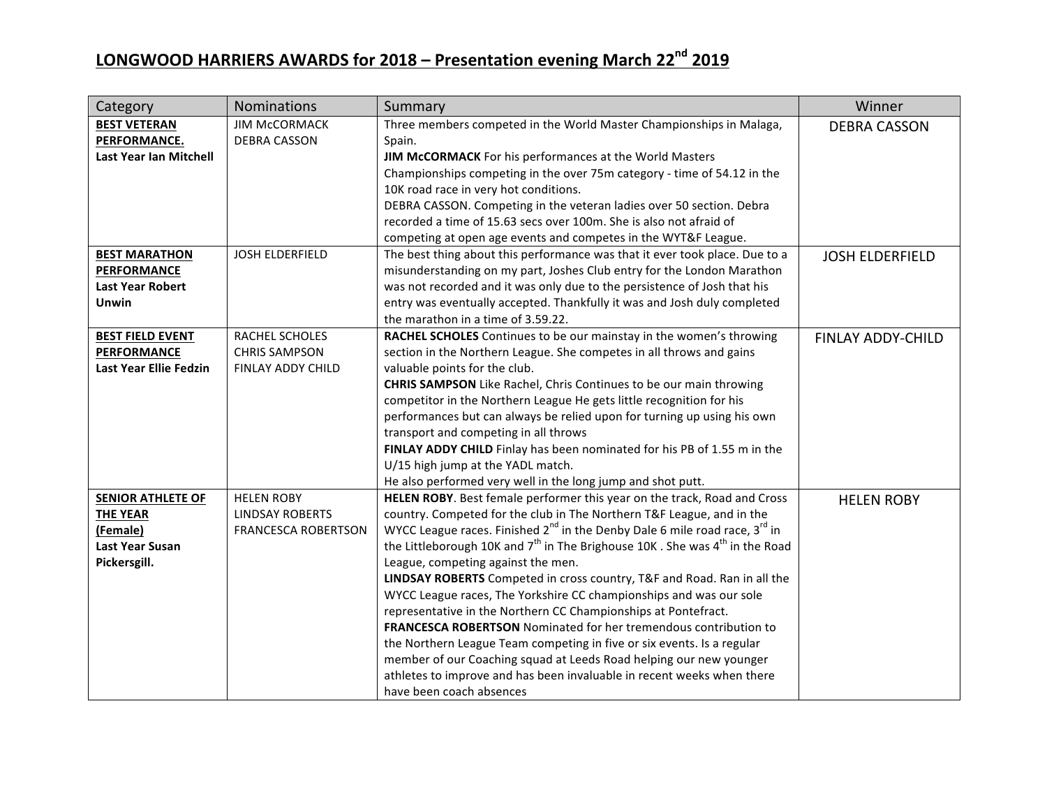| Category                      | <b>Nominations</b>         | Summary                                                                                             | Winner                   |
|-------------------------------|----------------------------|-----------------------------------------------------------------------------------------------------|--------------------------|
| <b>BEST VETERAN</b>           | <b>JIM MCCORMACK</b>       | Three members competed in the World Master Championships in Malaga,                                 | <b>DEBRA CASSON</b>      |
| PERFORMANCE.                  | <b>DEBRA CASSON</b>        | Spain.                                                                                              |                          |
| <b>Last Year Ian Mitchell</b> |                            | JIM McCORMACK For his performances at the World Masters                                             |                          |
|                               |                            | Championships competing in the over 75m category - time of 54.12 in the                             |                          |
|                               |                            | 10K road race in very hot conditions.                                                               |                          |
|                               |                            | DEBRA CASSON. Competing in the veteran ladies over 50 section. Debra                                |                          |
|                               |                            | recorded a time of 15.63 secs over 100m. She is also not afraid of                                  |                          |
|                               |                            | competing at open age events and competes in the WYT&F League.                                      |                          |
| <b>BEST MARATHON</b>          | JOSH ELDERFIELD            | The best thing about this performance was that it ever took place. Due to a                         | <b>JOSH ELDERFIELD</b>   |
| <b>PERFORMANCE</b>            |                            | misunderstanding on my part, Joshes Club entry for the London Marathon                              |                          |
| <b>Last Year Robert</b>       |                            | was not recorded and it was only due to the persistence of Josh that his                            |                          |
| Unwin                         |                            | entry was eventually accepted. Thankfully it was and Josh duly completed                            |                          |
|                               |                            | the marathon in a time of 3.59.22.                                                                  |                          |
| <b>BEST FIELD EVENT</b>       | <b>RACHEL SCHOLES</b>      | RACHEL SCHOLES Continues to be our mainstay in the women's throwing                                 | <b>FINLAY ADDY-CHILD</b> |
| <b>PERFORMANCE</b>            | <b>CHRIS SAMPSON</b>       | section in the Northern League. She competes in all throws and gains                                |                          |
| Last Year Ellie Fedzin        | FINLAY ADDY CHILD          | valuable points for the club.                                                                       |                          |
|                               |                            | <b>CHRIS SAMPSON</b> Like Rachel, Chris Continues to be our main throwing                           |                          |
|                               |                            | competitor in the Northern League He gets little recognition for his                                |                          |
|                               |                            | performances but can always be relied upon for turning up using his own                             |                          |
|                               |                            | transport and competing in all throws                                                               |                          |
|                               |                            | FINLAY ADDY CHILD Finlay has been nominated for his PB of 1.55 m in the                             |                          |
|                               |                            | U/15 high jump at the YADL match.                                                                   |                          |
|                               |                            | He also performed very well in the long jump and shot putt.                                         |                          |
| <b>SENIOR ATHLETE OF</b>      | <b>HELEN ROBY</b>          | HELEN ROBY. Best female performer this year on the track, Road and Cross                            | <b>HELEN ROBY</b>        |
| <b>THE YEAR</b>               | <b>LINDSAY ROBERTS</b>     | country. Competed for the club in The Northern T&F League, and in the                               |                          |
| (Female)                      | <b>FRANCESCA ROBERTSON</b> | WYCC League races. Finished $2^{nd}$ in the Denby Dale 6 mile road race, $3^{rd}$ in                |                          |
| <b>Last Year Susan</b>        |                            | the Littleborough 10K and $7^{\text{th}}$ in The Brighouse 10K. She was $4^{\text{th}}$ in the Road |                          |
| Pickersgill.                  |                            | League, competing against the men.                                                                  |                          |
|                               |                            | LINDSAY ROBERTS Competed in cross country, T&F and Road. Ran in all the                             |                          |
|                               |                            | WYCC League races, The Yorkshire CC championships and was our sole                                  |                          |
|                               |                            | representative in the Northern CC Championships at Pontefract.                                      |                          |
|                               |                            | FRANCESCA ROBERTSON Nominated for her tremendous contribution to                                    |                          |
|                               |                            | the Northern League Team competing in five or six events. Is a regular                              |                          |
|                               |                            | member of our Coaching squad at Leeds Road helping our new younger                                  |                          |
|                               |                            | athletes to improve and has been invaluable in recent weeks when there                              |                          |
|                               |                            | have been coach absences                                                                            |                          |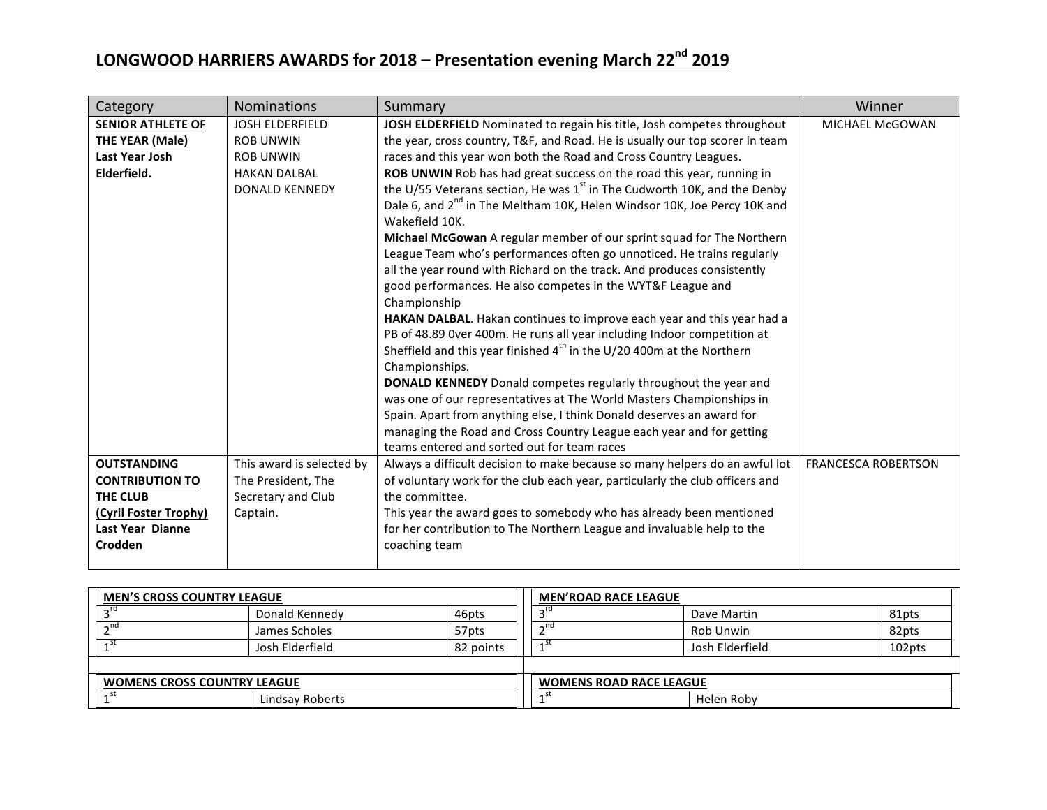| Category                                                                            | <b>Nominations</b>                                                                                             | Summary                                                                                                                                                                                                                                                                                                                                                                                                                                                                                                                                                                                                                                                                                                                                                                                                                                                                                                                                                                                                                                                                                                                                                                                                                                                                                                                                                                                                 | Winner                     |
|-------------------------------------------------------------------------------------|----------------------------------------------------------------------------------------------------------------|---------------------------------------------------------------------------------------------------------------------------------------------------------------------------------------------------------------------------------------------------------------------------------------------------------------------------------------------------------------------------------------------------------------------------------------------------------------------------------------------------------------------------------------------------------------------------------------------------------------------------------------------------------------------------------------------------------------------------------------------------------------------------------------------------------------------------------------------------------------------------------------------------------------------------------------------------------------------------------------------------------------------------------------------------------------------------------------------------------------------------------------------------------------------------------------------------------------------------------------------------------------------------------------------------------------------------------------------------------------------------------------------------------|----------------------------|
| <b>SENIOR ATHLETE OF</b><br>THE YEAR (Male)<br><b>Last Year Josh</b><br>Elderfield. | <b>JOSH ELDERFIELD</b><br><b>ROB UNWIN</b><br><b>ROB UNWIN</b><br><b>HAKAN DALBAL</b><br><b>DONALD KENNEDY</b> | JOSH ELDERFIELD Nominated to regain his title, Josh competes throughout<br>the year, cross country, T&F, and Road. He is usually our top scorer in team<br>races and this year won both the Road and Cross Country Leagues.<br>ROB UNWIN Rob has had great success on the road this year, running in<br>the U/55 Veterans section, He was $1st$ in The Cudworth 10K, and the Denby<br>Dale 6, and 2 <sup>nd</sup> in The Meltham 10K, Helen Windsor 10K, Joe Percy 10K and<br>Wakefield 10K.<br>Michael McGowan A regular member of our sprint squad for The Northern<br>League Team who's performances often go unnoticed. He trains regularly<br>all the year round with Richard on the track. And produces consistently<br>good performances. He also competes in the WYT&F League and<br>Championship<br>HAKAN DALBAL. Hakan continues to improve each year and this year had a<br>PB of 48.89 Over 400m. He runs all year including Indoor competition at<br>Sheffield and this year finished $4th$ in the U/20 400m at the Northern<br>Championships.<br>DONALD KENNEDY Donald competes regularly throughout the year and<br>was one of our representatives at The World Masters Championships in<br>Spain. Apart from anything else, I think Donald deserves an award for<br>managing the Road and Cross Country League each year and for getting<br>teams entered and sorted out for team races | <b>MICHAEL McGOWAN</b>     |
| <b>OUTSTANDING</b><br><b>CONTRIBUTION TO</b>                                        | This award is selected by<br>The President, The                                                                | Always a difficult decision to make because so many helpers do an awful lot<br>of voluntary work for the club each year, particularly the club officers and                                                                                                                                                                                                                                                                                                                                                                                                                                                                                                                                                                                                                                                                                                                                                                                                                                                                                                                                                                                                                                                                                                                                                                                                                                             | <b>FRANCESCA ROBERTSON</b> |
| THE CLUB                                                                            | Secretary and Club                                                                                             | the committee.                                                                                                                                                                                                                                                                                                                                                                                                                                                                                                                                                                                                                                                                                                                                                                                                                                                                                                                                                                                                                                                                                                                                                                                                                                                                                                                                                                                          |                            |
| (Cyril Foster Trophy)<br><b>Last Year Dianne</b><br>Crodden                         | Captain.                                                                                                       | This year the award goes to somebody who has already been mentioned<br>for her contribution to The Northern League and invaluable help to the<br>coaching team                                                                                                                                                                                                                                                                                                                                                                                                                                                                                                                                                                                                                                                                                                                                                                                                                                                                                                                                                                                                                                                                                                                                                                                                                                          |                            |

| <b>MEN'S CROSS COUNTRY LEAGUE</b>  |                 |           | <b>MEN'ROAD RACE LEAGUE</b>    |                 |        |
|------------------------------------|-----------------|-----------|--------------------------------|-----------------|--------|
|                                    | Donald Kennedy  | 46pts     |                                | Dave Martin     | 81pts  |
| $-nd$                              | James Scholes   | 57pts     | ີ່                             | Rob Unwin       | 82pts  |
|                                    | Josh Elderfield | 82 points |                                | Josh Elderfield | 102pts |
|                                    |                 |           |                                |                 |        |
| <b>WOMENS CROSS COUNTRY LEAGUE</b> |                 |           | <b>WOMENS ROAD RACE LEAGUE</b> |                 |        |
|                                    | Lindsay Roberts |           |                                | Helen Roby      |        |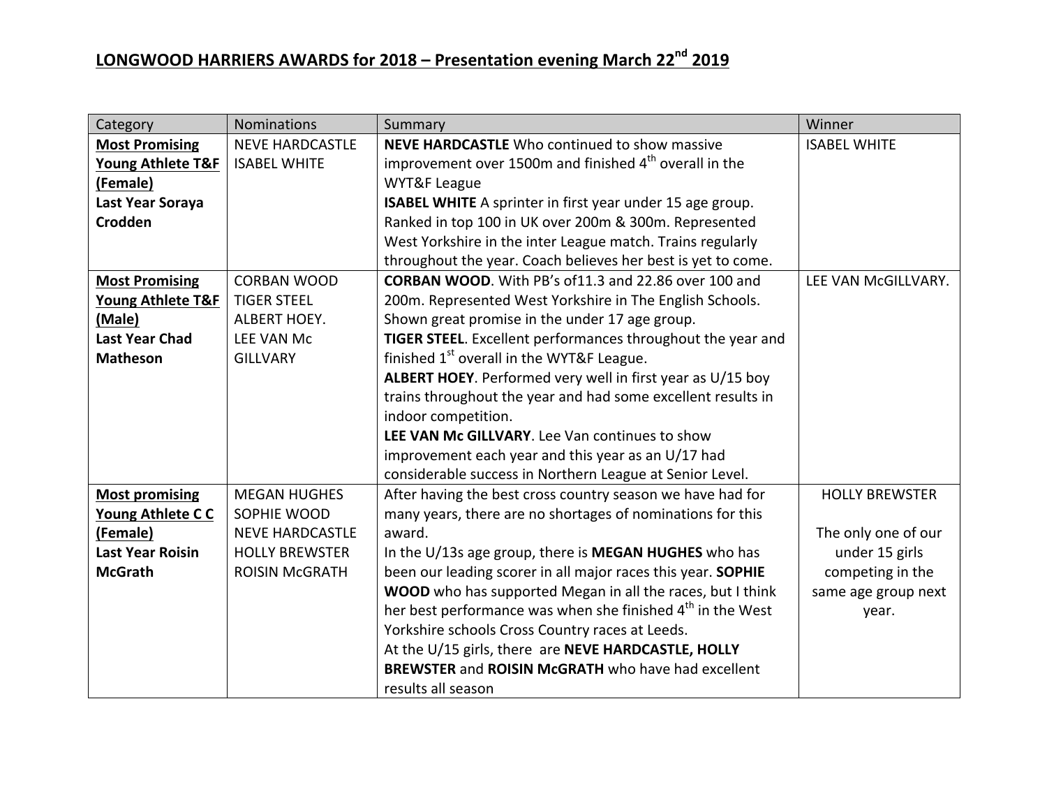| Category                     | <b>Nominations</b>     | Summary                                                                | Winner                |
|------------------------------|------------------------|------------------------------------------------------------------------|-----------------------|
| <b>Most Promising</b>        | <b>NEVE HARDCASTLE</b> | <b>NEVE HARDCASTLE</b> Who continued to show massive                   | <b>ISABEL WHITE</b>   |
| Young Athlete T&F            | <b>ISABEL WHITE</b>    | improvement over 1500m and finished 4 <sup>th</sup> overall in the     |                       |
| (Female)                     |                        | WYT&F League                                                           |                       |
| Last Year Soraya             |                        | ISABEL WHITE A sprinter in first year under 15 age group.              |                       |
| <b>Crodden</b>               |                        | Ranked in top 100 in UK over 200m & 300m. Represented                  |                       |
|                              |                        | West Yorkshire in the inter League match. Trains regularly             |                       |
|                              |                        | throughout the year. Coach believes her best is yet to come.           |                       |
| <b>Most Promising</b>        | <b>CORBAN WOOD</b>     | <b>CORBAN WOOD.</b> With PB's of 11.3 and 22.86 over 100 and           | LEE VAN McGILLVARY.   |
| <b>Young Athlete T&amp;F</b> | <b>TIGER STEEL</b>     | 200m. Represented West Yorkshire in The English Schools.               |                       |
| (Male)                       | ALBERT HOEY.           | Shown great promise in the under 17 age group.                         |                       |
| <b>Last Year Chad</b>        | <b>LEE VAN Mc</b>      | TIGER STEEL. Excellent performances throughout the year and            |                       |
| <b>Matheson</b>              | <b>GILLVARY</b>        | finished $1st$ overall in the WYT&F League.                            |                       |
|                              |                        | ALBERT HOEY. Performed very well in first year as U/15 boy             |                       |
|                              |                        | trains throughout the year and had some excellent results in           |                       |
|                              |                        | indoor competition.                                                    |                       |
|                              |                        | LEE VAN Mc GILLVARY. Lee Van continues to show                         |                       |
|                              |                        | improvement each year and this year as an U/17 had                     |                       |
|                              |                        | considerable success in Northern League at Senior Level.               |                       |
| <b>Most promising</b>        | <b>MEGAN HUGHES</b>    | After having the best cross country season we have had for             | <b>HOLLY BREWSTER</b> |
| Young Athlete CC             | SOPHIE WOOD            | many years, there are no shortages of nominations for this             |                       |
| (Female)                     | <b>NEVE HARDCASTLE</b> | award.                                                                 | The only one of our   |
| <b>Last Year Roisin</b>      | <b>HOLLY BREWSTER</b>  | In the U/13s age group, there is MEGAN HUGHES who has                  | under 15 girls        |
| <b>McGrath</b>               | <b>ROISIN McGRATH</b>  | been our leading scorer in all major races this year. SOPHIE           | competing in the      |
|                              |                        | WOOD who has supported Megan in all the races, but I think             | same age group next   |
|                              |                        | her best performance was when she finished 4 <sup>th</sup> in the West | year.                 |
|                              |                        | Yorkshire schools Cross Country races at Leeds.                        |                       |
|                              |                        | At the U/15 girls, there are NEVE HARDCASTLE, HOLLY                    |                       |
|                              |                        | <b>BREWSTER and ROISIN McGRATH who have had excellent</b>              |                       |
|                              |                        | results all season                                                     |                       |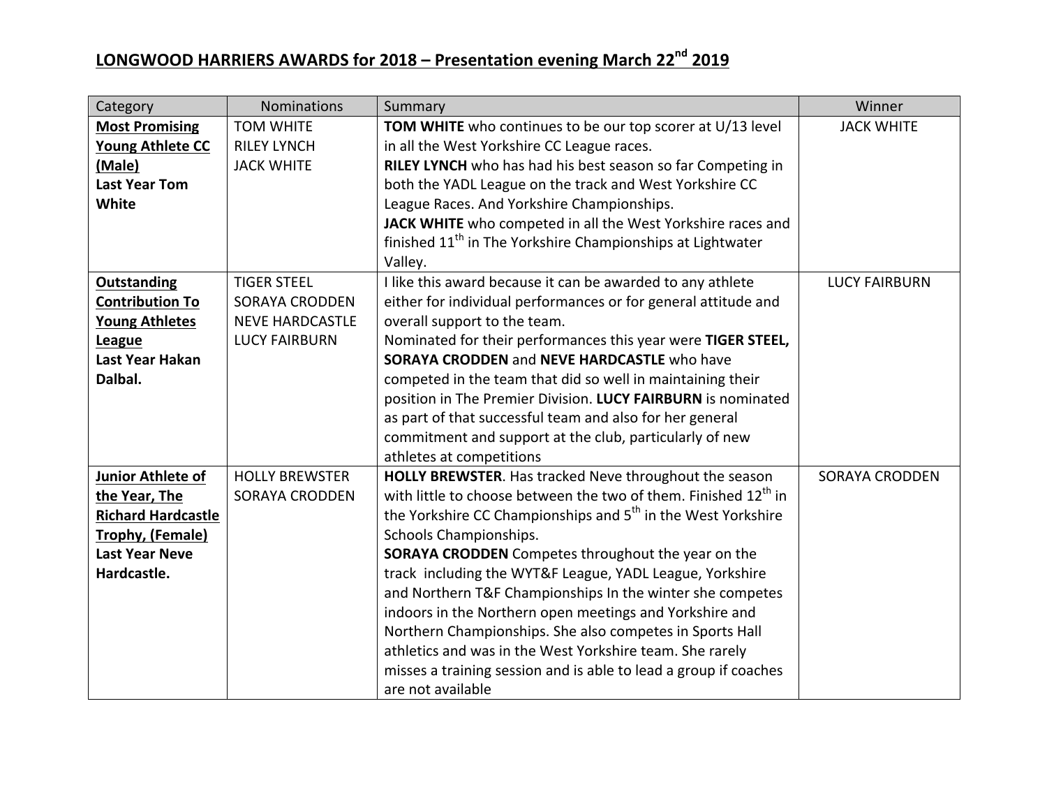| Category                  | <b>Nominations</b>     | Summary                                                                     | Winner                |
|---------------------------|------------------------|-----------------------------------------------------------------------------|-----------------------|
| <b>Most Promising</b>     | <b>TOM WHITE</b>       | <b>TOM WHITE</b> who continues to be our top scorer at U/13 level           | <b>JACK WHITE</b>     |
| <b>Young Athlete CC</b>   | <b>RILEY LYNCH</b>     | in all the West Yorkshire CC League races.                                  |                       |
| (Male)                    | <b>JACK WHITE</b>      | RILEY LYNCH who has had his best season so far Competing in                 |                       |
| <b>Last Year Tom</b>      |                        | both the YADL League on the track and West Yorkshire CC                     |                       |
| <b>White</b>              |                        | League Races. And Yorkshire Championships.                                  |                       |
|                           |                        | JACK WHITE who competed in all the West Yorkshire races and                 |                       |
|                           |                        | finished 11 <sup>th</sup> in The Yorkshire Championships at Lightwater      |                       |
|                           |                        | Valley.                                                                     |                       |
| <b>Outstanding</b>        | <b>TIGER STEEL</b>     | I like this award because it can be awarded to any athlete                  | <b>LUCY FAIRBURN</b>  |
| <b>Contribution To</b>    | <b>SORAYA CRODDEN</b>  | either for individual performances or for general attitude and              |                       |
| <b>Young Athletes</b>     | <b>NEVE HARDCASTLE</b> | overall support to the team.                                                |                       |
| <b>League</b>             | <b>LUCY FAIRBURN</b>   | Nominated for their performances this year were TIGER STEEL,                |                       |
| Last Year Hakan           |                        | <b>SORAYA CRODDEN and NEVE HARDCASTLE who have</b>                          |                       |
| Dalbal.                   |                        | competed in the team that did so well in maintaining their                  |                       |
|                           |                        | position in The Premier Division. LUCY FAIRBURN is nominated                |                       |
|                           |                        | as part of that successful team and also for her general                    |                       |
|                           |                        | commitment and support at the club, particularly of new                     |                       |
|                           |                        | athletes at competitions                                                    |                       |
| Junior Athlete of         | <b>HOLLY BREWSTER</b>  | HOLLY BREWSTER. Has tracked Neve throughout the season                      | <b>SORAYA CRODDEN</b> |
| the Year, The             | <b>SORAYA CRODDEN</b>  | with little to choose between the two of them. Finished 12 <sup>th</sup> in |                       |
| <b>Richard Hardcastle</b> |                        | the Yorkshire CC Championships and 5 <sup>th</sup> in the West Yorkshire    |                       |
| Trophy, (Female)          |                        | Schools Championships.                                                      |                       |
| <b>Last Year Neve</b>     |                        | <b>SORAYA CRODDEN</b> Competes throughout the year on the                   |                       |
| Hardcastle.               |                        | track including the WYT&F League, YADL League, Yorkshire                    |                       |
|                           |                        | and Northern T&F Championships In the winter she competes                   |                       |
|                           |                        | indoors in the Northern open meetings and Yorkshire and                     |                       |
|                           |                        | Northern Championships. She also competes in Sports Hall                    |                       |
|                           |                        | athletics and was in the West Yorkshire team. She rarely                    |                       |
|                           |                        | misses a training session and is able to lead a group if coaches            |                       |
|                           |                        | are not available                                                           |                       |